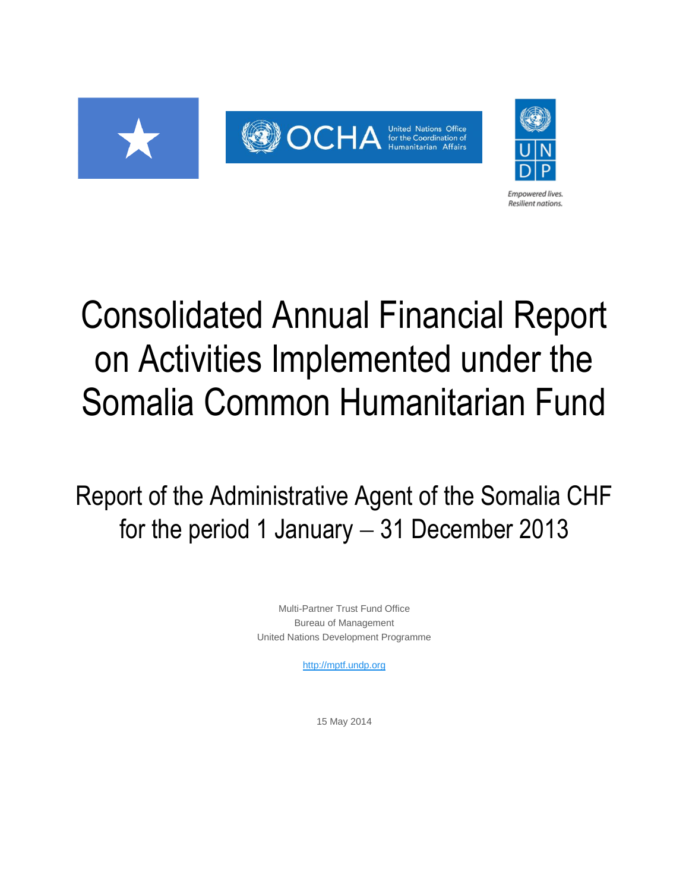



**Empowered lives** Resilient nations.

# Consolidated Annual Financial Report on Activities Implemented under the Somalia Common Humanitarian Fund

Report of the Administrative Agent of the Somalia CHF for the period 1 January  $-31$  December 2013

> Multi-Partner Trust Fund Office Bureau of Management United Nations Development Programme

> > [http://mptf.undp.org](http://mptf.undp.org/)

15 May 2014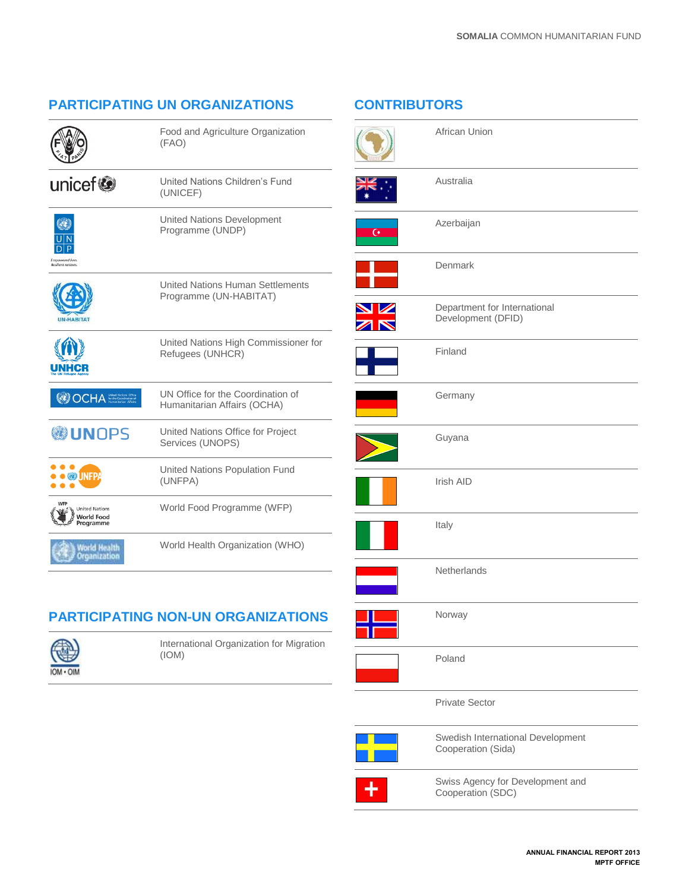# **PARTICIPATING UN ORGANIZATIONS**

Food and Agriculture Organization

|--|

|                                                         | (FAO)                                                             |
|---------------------------------------------------------|-------------------------------------------------------------------|
| unicef®                                                 | United Nations Children's Fund<br>(UNICEF)                        |
| Empowered lives.<br>Resilient nations.                  | <b>United Nations Development</b><br>Programme (UNDP)             |
| <b>HABITAT</b>                                          | <b>United Nations Human Settlements</b><br>Programme (UN-HABITAT) |
| INHCH                                                   | United Nations High Commissioner for<br>Refugees (UNHCR)          |
| OCHA                                                    | UN Office for the Coordination of<br>Humanitarian Affairs (OCHA)  |
| <b> UNOPS</b>                                           | United Nations Office for Project<br>Services (UNOPS)             |
| <b>UNFP</b>                                             | United Nations Population Fund<br>(UNFPA)                         |
| <b>United Nations</b><br><b>World Food</b><br>Proaramme | World Food Programme (WFP)                                        |
| World Health<br>Organization                            | World Health Organization (WHO)                                   |

# **PARTICIPATING NON-UN ORGANIZATIONS**



International Organization for Migration (IOM)

# **CONTRIBUTORS**

|                | African Union                                           |
|----------------|---------------------------------------------------------|
|                | Australia                                               |
| $\overline{G}$ | Azerbaijan                                              |
|                | Denmark                                                 |
| N Z            | Department for International<br>Development (DFID)      |
|                | Finland                                                 |
|                | Germany                                                 |
|                | Guyana                                                  |
|                | Irish AID                                               |
|                | Italy                                                   |
|                | Netherlands                                             |
|                | Norway                                                  |
|                | Poland                                                  |
|                | <b>Private Sector</b>                                   |
|                | Swedish International Development<br>Cooperation (Sida) |
|                | Swiss Agency for Development and<br>Cooperation (SDC)   |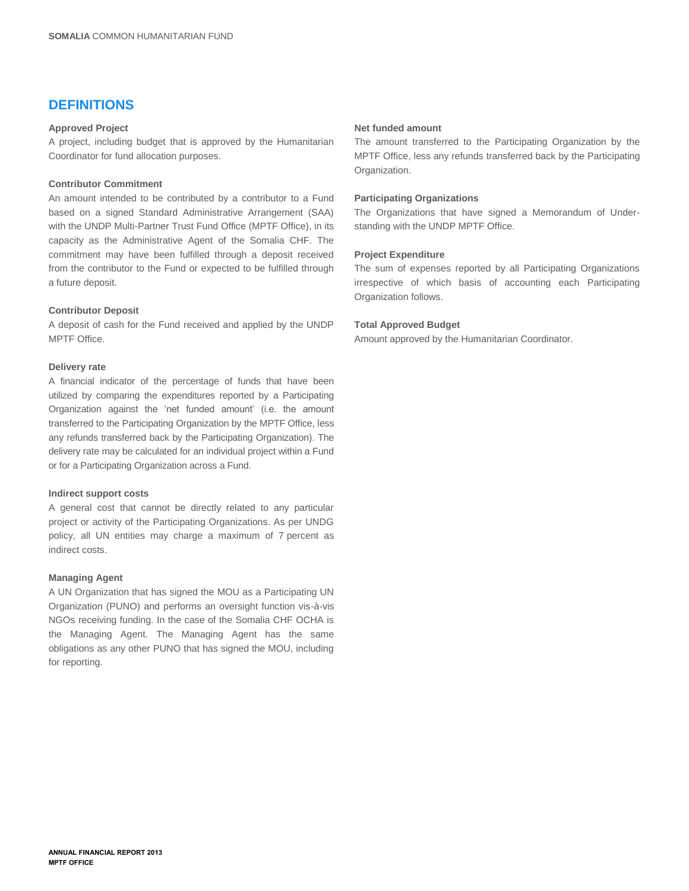# **DEFINITIONS**

## **Approved Project**

A project, including budget that is approved by the Humanitarian Coordinator for fund allocation purposes.

#### **Contributor Commitment**

An amount intended to be contributed by a contributor to a Fund based on a signed Standard Administrative Arrangement (SAA) with the UNDP Multi-Partner Trust Fund Office (MPTF Office), in its capacity as the Administrative Agent of the Somalia CHF. The commitment may have been fulfilled through a deposit received from the contributor to the Fund or expected to be fulfilled through a future deposit.

#### **Contributor Deposit**

A deposit of cash for the Fund received and applied by the UNDP MPTF Office.

#### **Delivery rate**

A financial indicator of the percentage of funds that have been utilized by comparing the expenditures reported by a Participating Organization against the 'net funded amount' (i.e. the amount transferred to the Participating Organization by the MPTF Office, less any refunds transferred back by the Participating Organization). The delivery rate may be calculated for an individual project within a Fund or for a Participating Organization across a Fund.

#### **Indirect support costs**

A general cost that cannot be directly related to any particular project or activity of the Participating Organizations. As per UNDG policy, all UN entities may charge a maximum of 7 percent as indirect costs.

#### **Managing Agent**

A UN Organization that has signed the MOU as a Participating UN Organization (PUNO) and performs an oversight function vis-à-vis NGOs receiving funding. In the case of the Somalia CHF OCHA is the Managing Agent. The Managing Agent has the same obligations as any other PUNO that has signed the MOU, including for reporting.

#### **Net funded amount**

The amount transferred to the Participating Organization by the MPTF Office, less any refunds transferred back by the Participating Organization.

#### **Participating Organizations**

The Organizations that have signed a Memorandum of Understanding with the UNDP MPTF Office.

#### **Project Expenditure**

The sum of expenses reported by all Participating Organizations irrespective of which basis of accounting each Participating Organization follows.

#### **Total Approved Budget**

Amount approved by the Humanitarian Coordinator.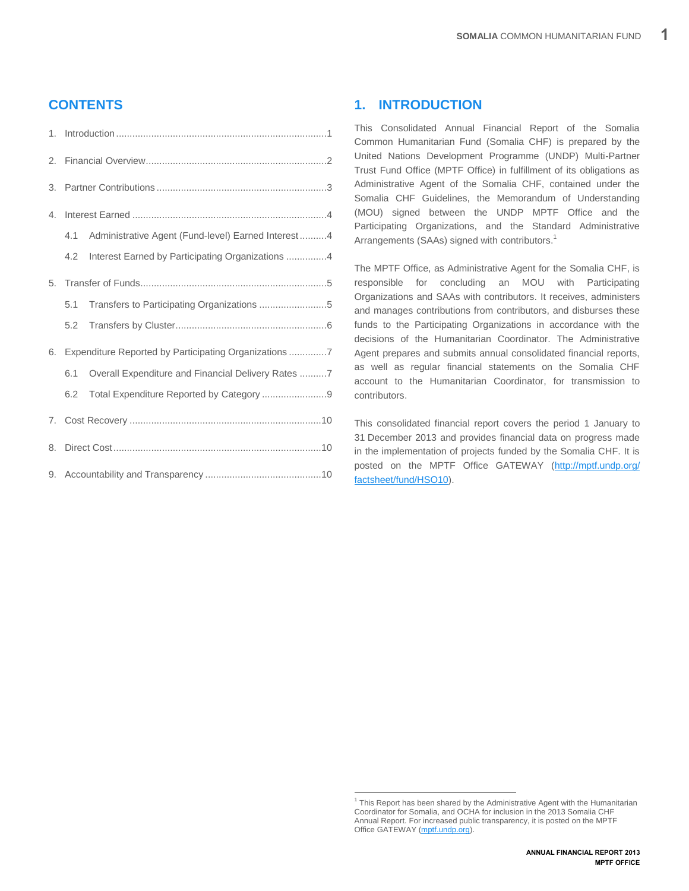# **CONTENTS**

| 2. |     |                                                       |
|----|-----|-------------------------------------------------------|
| 3. |     |                                                       |
| 4. |     |                                                       |
|    | 4.1 | Administrative Agent (Fund-level) Earned Interest4    |
|    | 4.2 | Interest Earned by Participating Organizations 4      |
| 5. |     |                                                       |
|    | 5.1 | Transfers to Participating Organizations 5            |
|    | 5.2 |                                                       |
| 6. |     | Expenditure Reported by Participating Organizations 7 |
|    | 6.1 | Overall Expenditure and Financial Delivery Rates 7    |
|    | 6.2 | Total Expenditure Reported by Category 9              |
| 7. |     |                                                       |
| 8. |     |                                                       |
|    |     |                                                       |

# <span id="page-4-0"></span>**1. INTRODUCTION**

This Consolidated Annual Financial Report of the Somalia Common Humanitarian Fund (Somalia CHF) is prepared by the United Nations Development Programme (UNDP) Multi-Partner Trust Fund Office (MPTF Office) in fulfillment of its obligations as Administrative Agent of the Somalia CHF, contained under the Somalia CHF Guidelines, the Memorandum of Understanding (MOU) signed between the UNDP MPTF Office and the Participating Organizations, and the Standard Administrative Arrangements (SAAs) signed with contributors.<sup>1</sup>

The MPTF Office, as Administrative Agent for the Somalia CHF, is responsible for concluding an MOU with Participating Organizations and SAAs with contributors. It receives, administers and manages contributions from contributors, and disburses these funds to the Participating Organizations in accordance with the decisions of the Humanitarian Coordinator. The Administrative Agent prepares and submits annual consolidated financial reports, as well as regular financial statements on the Somalia CHF account to the Humanitarian Coordinator, for transmission to contributors.

This consolidated financial report covers the period 1 January to 31 December 2013 and provides financial data on progress made in the implementation of projects funded by the Somalia CHF. It is posted on the MPTF Office GATEWAY [\(http://mptf.undp.org/](http://mptf.undp.org/factsheet/fund/HSO10)  [factsheet/fund/HSO10\)](http://mptf.undp.org/factsheet/fund/HSO10).

 1 This Report has been shared by the Administrative Agent with the Humanitarian Coordinator for Somalia, and OCHA for inclusion in the 2013 Somalia CHF Annual Report. For increased public transparency, it is posted on the MPTF Office GATEWAY [\(mptf.undp.org\)](http://mdtf.undp.org/factsheet/fund/HSO10).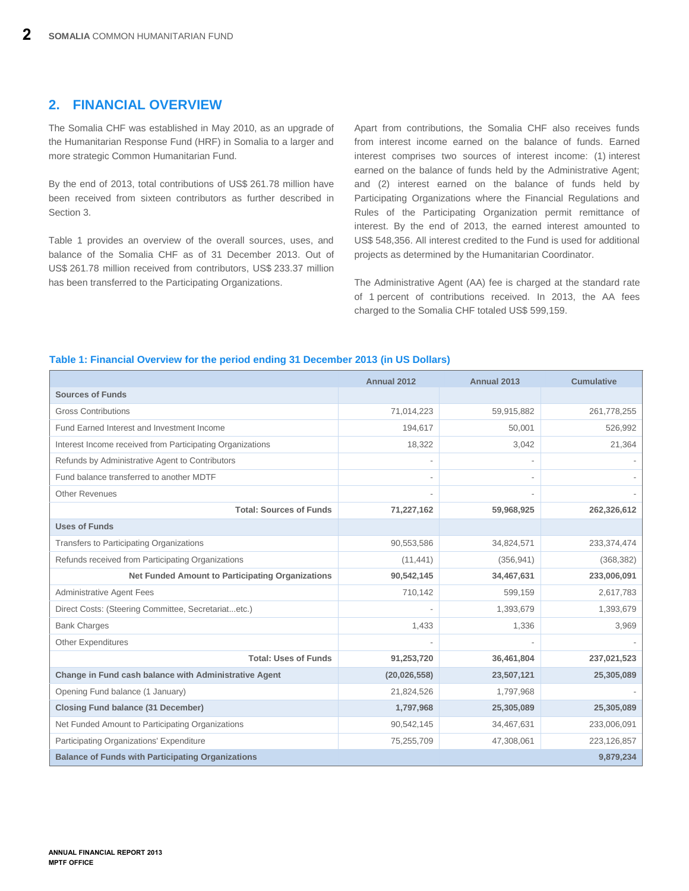# <span id="page-5-0"></span>**2. FINANCIAL OVERVIEW**

The Somalia CHF was established in May 2010, as an upgrade of the Humanitarian Response Fund (HRF) in Somalia to a larger and more strategic Common Humanitarian Fund.

By the end of 2013, total contributions of US\$ 261.78 million have been received from sixteen contributors as further described in Section 3.

Table 1 provides an overview of the overall sources, uses, and balance of the Somalia CHF as of 31 December 2013. Out of US\$ 261.78 million received from contributors, US\$ 233.37 million has been transferred to the Participating Organizations.

Apart from contributions, the Somalia CHF also receives funds from interest income earned on the balance of funds. Earned interest comprises two sources of interest income: (1) interest earned on the balance of funds held by the Administrative Agent; and (2) interest earned on the balance of funds held by Participating Organizations where the Financial Regulations and Rules of the Participating Organization permit remittance of interest. By the end of 2013, the earned interest amounted to US\$ 548,356. All interest credited to the Fund is used for additional projects as determined by the Humanitarian Coordinator.

The Administrative Agent (AA) fee is charged at the standard rate of 1 percent of contributions received. In 2013, the AA fees charged to the Somalia CHF totaled US\$ 599,159.

### **Table 1: Financial Overview for the period ending 31 December 2013 (in US Dollars)**

|                                                           | Annual 2012    | Annual 2013 | <b>Cumulative</b> |
|-----------------------------------------------------------|----------------|-------------|-------------------|
| <b>Sources of Funds</b>                                   |                |             |                   |
| <b>Gross Contributions</b>                                | 71,014,223     | 59,915,882  | 261,778,255       |
| Fund Earned Interest and Investment Income                | 194,617        | 50,001      | 526,992           |
| Interest Income received from Participating Organizations | 18,322         | 3,042       | 21,364            |
| Refunds by Administrative Agent to Contributors           |                |             |                   |
| Fund balance transferred to another MDTF                  | -              |             |                   |
| <b>Other Revenues</b>                                     |                |             |                   |
| <b>Total: Sources of Funds</b>                            | 71,227,162     | 59,968,925  | 262,326,612       |
| <b>Uses of Funds</b>                                      |                |             |                   |
| Transfers to Participating Organizations                  | 90,553,586     | 34,824,571  | 233,374,474       |
| Refunds received from Participating Organizations         | (11, 441)      | (356, 941)  | (368, 382)        |
| <b>Net Funded Amount to Participating Organizations</b>   | 90,542,145     | 34,467,631  | 233,006,091       |
| <b>Administrative Agent Fees</b>                          | 710,142        | 599,159     | 2,617,783         |
| Direct Costs: (Steering Committee, Secretariatetc.)       |                | 1,393,679   | 1,393,679         |
| <b>Bank Charges</b>                                       | 1,433          | 1,336       | 3,969             |
| <b>Other Expenditures</b>                                 |                |             |                   |
| <b>Total: Uses of Funds</b>                               | 91,253,720     | 36,461,804  | 237,021,523       |
| Change in Fund cash balance with Administrative Agent     | (20, 026, 558) | 23,507,121  | 25,305,089        |
| Opening Fund balance (1 January)                          | 21,824,526     | 1,797,968   |                   |
| <b>Closing Fund balance (31 December)</b>                 | 1,797,968      | 25,305,089  | 25,305,089        |
| Net Funded Amount to Participating Organizations          | 90,542,145     | 34,467,631  | 233,006,091       |
| Participating Organizations' Expenditure                  | 75,255,709     | 47,308,061  | 223,126,857       |
| <b>Balance of Funds with Participating Organizations</b>  |                |             | 9,879,234         |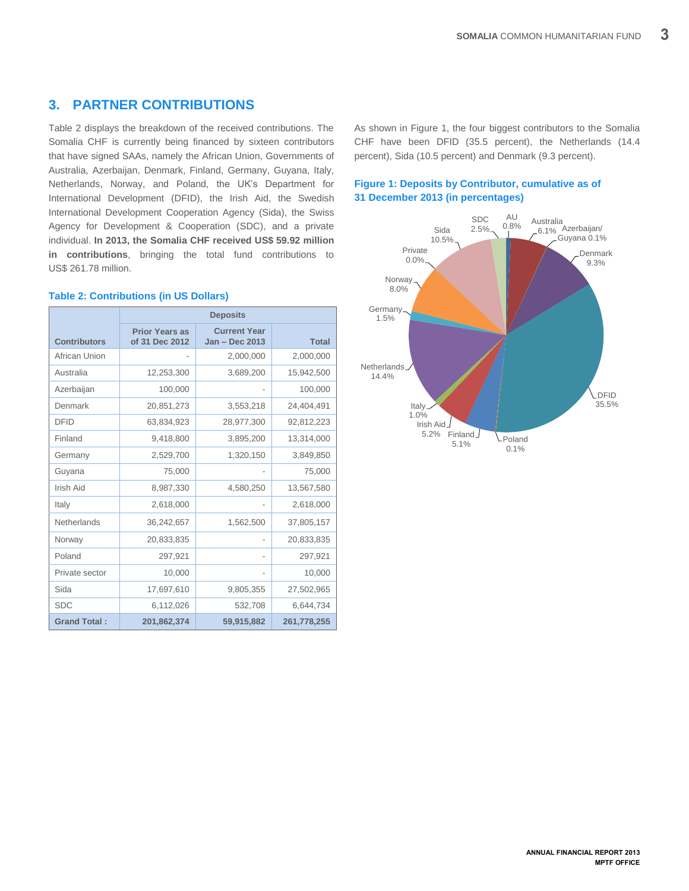# <span id="page-6-0"></span>**3. PARTNER CONTRIBUTIONS**

Table 2 displays the breakdown of the received contributions. The Somalia CHF is currently being financed by sixteen contributors that have signed SAAs, namely the African Union, Governments of Australia, Azerbaijan, Denmark, Finland, Germany, Guyana, Italy, Netherlands, Norway, and Poland, the UK's Department for International Development (DFID), the Irish Aid, the Swedish International Development Cooperation Agency (Sida), the Swiss Agency for Development & Cooperation (SDC), and a private individual. **In 2013, the Somalia CHF received US\$ 59.92 million in contributions**, bringing the total fund contributions to US\$ 261.78 million.

| <b>Contributors</b> | <b>Prior Years as</b><br>of 31 Dec 2012 | <b>Current Year</b><br>Jan - Dec 2013 | <b>Total</b> |
|---------------------|-----------------------------------------|---------------------------------------|--------------|
| African Union       |                                         | 2,000,000                             | 2,000,000    |
| Australia           | 12,253,300                              | 3,689,200                             | 15,942,500   |
| Azerbaijan          | 100,000                                 |                                       | 100,000      |
| Denmark             | 20,851,273                              | 3,553,218                             | 24,404,491   |
| <b>DFID</b>         | 63,834,923                              | 28,977,300                            | 92,812,223   |
| Finland             | 9,418,800                               | 3,895,200                             | 13,314,000   |
| Germany             | 2,529,700                               | 1,320,150                             | 3,849,850    |
| Guyana              | 75,000                                  |                                       | 75,000       |
| Irish Aid           | 8,987,330                               | 4,580,250                             | 13,567,580   |
| Italy               | 2,618,000                               |                                       | 2,618,000    |
| Netherlands         | 36,242,657                              | 1,562,500                             | 37,805,157   |
| Norway              | 20,833,835                              |                                       | 20,833,835   |
| Poland              | 297,921                                 |                                       | 297,921      |
| Private sector      | 10,000                                  |                                       | 10,000       |
| Sida                | 17,697,610                              | 9,805,355                             | 27,502,965   |
| <b>SDC</b>          | 6,112,026                               | 532,708                               | 6,644,734    |
| <b>Grand Total:</b> | 201,862,374                             | 59,915,882                            | 261,778,255  |

### **Table 2: Contributions (in US Dollars)**

As shown in Figure 1, the four biggest contributors to the Somalia CHF have been DFID (35.5 percent), the Netherlands (14.4 percent), Sida (10.5 percent) and Denmark (9.3 percent).

## **Figure 1: Deposits by Contributor, cumulative as of 31 December 2013 (in percentages)**

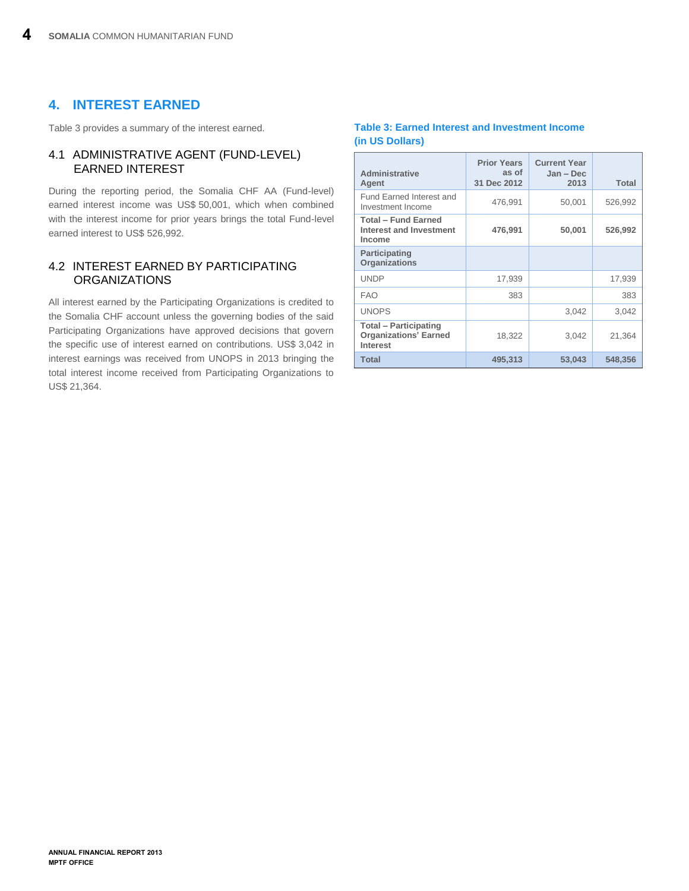# <span id="page-7-0"></span>**4. INTEREST EARNED**

Table 3 provides a summary of the interest earned.

## <span id="page-7-1"></span>4.1 ADMINISTRATIVE AGENT (FUND-LEVEL) EARNED INTEREST

During the reporting period, the Somalia CHF AA (Fund-level) earned interest income was US\$ 50,001, which when combined with the interest income for prior years brings the total Fund-level earned interest to US\$ 526,992.

# <span id="page-7-2"></span>4.2 INTEREST EARNED BY PARTICIPATING **ORGANIZATIONS**

All interest earned by the Participating Organizations is credited to the Somalia CHF account unless the governing bodies of the said Participating Organizations have approved decisions that govern the specific use of interest earned on contributions. US\$ 3,042 in interest earnings was received from UNOPS in 2013 bringing the total interest income received from Participating Organizations to US\$ 21,364.

## **Table 3: Earned Interest and Investment Income (in US Dollars)**

| Administrative<br>Agent                                                  | <b>Prior Years</b><br>as of<br>31 Dec 2012 | <b>Current Year</b><br>Jan - Dec<br>2013 | <b>Total</b> |
|--------------------------------------------------------------------------|--------------------------------------------|------------------------------------------|--------------|
| Fund Earned Interest and<br>Investment Income                            | 476,991                                    | 50,001                                   | 526,992      |
| <b>Total - Fund Earned</b><br><b>Interest and Investment</b><br>Income   | 476,991                                    | 50,001                                   | 526,992      |
| Participating<br><b>Organizations</b>                                    |                                            |                                          |              |
| <b>UNDP</b>                                                              | 17,939                                     |                                          | 17,939       |
| <b>FAO</b>                                                               | 383                                        |                                          | 383          |
| <b>UNOPS</b>                                                             |                                            | 3,042                                    | 3,042        |
| <b>Total - Participating</b><br><b>Organizations' Earned</b><br>Interest | 18,322                                     | 3,042                                    | 21,364       |
| <b>Total</b>                                                             | 495,313                                    | 53,043                                   | 548,356      |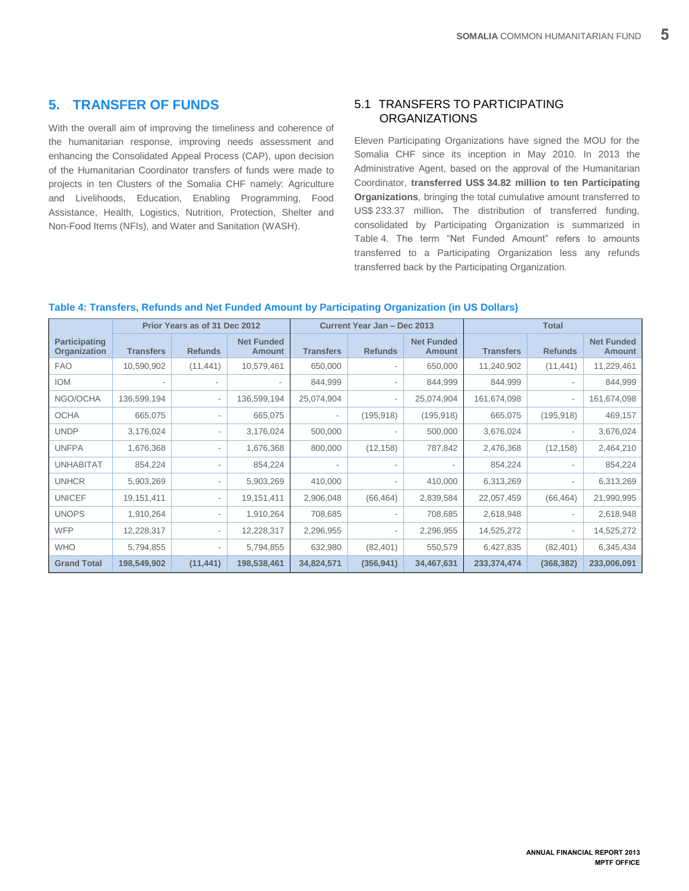# <span id="page-8-0"></span>**5. TRANSFER OF FUNDS**

With the overall aim of improving the timeliness and coherence of the humanitarian response, improving needs assessment and enhancing the Consolidated Appeal Process (CAP), upon decision of the Humanitarian Coordinator transfers of funds were made to projects in ten Clusters of the Somalia CHF namely: Agriculture and Livelihoods, Education, Enabling Programming, Food Assistance, Health, Logistics, Nutrition, Protection, Shelter and Non-Food Items (NFIs), and Water and Sanitation (WASH).

# <span id="page-8-1"></span>5.1 TRANSFERS TO PARTICIPATING **ORGANIZATIONS**

Eleven Participating Organizations have signed the MOU for the Somalia CHF since its inception in May 2010. In 2013 the Administrative Agent, based on the approval of the Humanitarian Coordinator, **transferred US\$ 34.82 million to ten Participating Organizations**, bringing the total cumulative amount transferred to US\$ 233.37 million**.** The distribution of transferred funding, consolidated by Participating Organization is summarized in Table 4. The term "Net Funded Amount" refers to amounts transferred to a Participating Organization less any refunds transferred back by the Participating Organization.

### **Table 4: Transfers, Refunds and Net Funded Amount by Participating Organization (in US Dollars)**

|                                      |                              | Prior Years as of 31 Dec 2012 |                                    |                          | Current Year Jan - Dec 2013 |                                    | <b>Total</b>     |                          |                                    |
|--------------------------------------|------------------------------|-------------------------------|------------------------------------|--------------------------|-----------------------------|------------------------------------|------------------|--------------------------|------------------------------------|
| <b>Participating</b><br>Organization | <b>Transfers</b>             | <b>Refunds</b>                | <b>Net Funded</b><br><b>Amount</b> | <b>Transfers</b>         | <b>Refunds</b>              | <b>Net Funded</b><br><b>Amount</b> | <b>Transfers</b> | <b>Refunds</b>           | <b>Net Funded</b><br><b>Amount</b> |
| <b>FAO</b>                           | 10,590,902                   | (11, 441)                     | 10,579,461                         | 650,000                  |                             | 650,000                            | 11,240,902       | (11, 441)                | 11,229,461                         |
| <b>IOM</b>                           | $\qquad \qquad \blacksquare$ | $\blacksquare$                |                                    | 844,999                  |                             | 844,999                            | 844,999          | $\overline{\phantom{a}}$ | 844,999                            |
| NGO/OCHA                             | 136,599,194                  | $\overline{\phantom{a}}$      | 136,599,194                        | 25,074,904               |                             | 25,074,904                         | 161,674,098      | $\overline{\phantom{a}}$ | 161,674,098                        |
| <b>OCHA</b>                          | 665,075                      | $\overline{\phantom{a}}$      | 665,075                            | $\sim$                   | (195, 918)                  | (195, 918)                         | 665,075          | (195, 918)               | 469,157                            |
| <b>UNDP</b>                          | 3,176,024                    | $\overline{\phantom{a}}$      | 3,176,024                          | 500,000                  |                             | 500,000                            | 3,676,024        | $\overline{\phantom{a}}$ | 3,676,024                          |
| <b>UNFPA</b>                         | 1,676,368                    | $\overline{\phantom{a}}$      | 1,676,368                          | 800,000                  | (12, 158)                   | 787,842                            | 2,476,368        | (12, 158)                | 2,464,210                          |
| <b>UNHABITAT</b>                     | 854,224                      | $\overline{\phantom{a}}$      | 854,224                            | $\overline{\phantom{a}}$ |                             |                                    | 854,224          | $\overline{\phantom{a}}$ | 854,224                            |
| <b>UNHCR</b>                         | 5,903,269                    | $\overline{\phantom{a}}$      | 5,903,269                          | 410,000                  |                             | 410,000                            | 6,313,269        |                          | 6,313,269                          |
| <b>UNICEF</b>                        | 19,151,411                   | $\overline{\phantom{a}}$      | 19,151,411                         | 2,906,048                | (66, 464)                   | 2,839,584                          | 22,057,459       | (66, 464)                | 21,990,995                         |
| <b>UNOPS</b>                         | 1,910,264                    | $\overline{\phantom{a}}$      | 1,910,264                          | 708,685                  |                             | 708,685                            | 2,618,948        | $\overline{\phantom{a}}$ | 2,618,948                          |
| <b>WFP</b>                           | 12,228,317                   | $\overline{\phantom{a}}$      | 12,228,317                         | 2,296,955                |                             | 2,296,955                          | 14,525,272       | $\overline{\phantom{a}}$ | 14,525,272                         |
| <b>WHO</b>                           | 5,794,855                    | $\overline{\phantom{a}}$      | 5,794,855                          | 632,980                  | (82, 401)                   | 550,579                            | 6,427,835        | (82, 401)                | 6,345,434                          |
| <b>Grand Total</b>                   | 198,549,902                  | (11, 441)                     | 198,538,461                        | 34,824,571               | (356, 941)                  | 34,467,631                         | 233,374,474      | (368, 382)               | 233,006,091                        |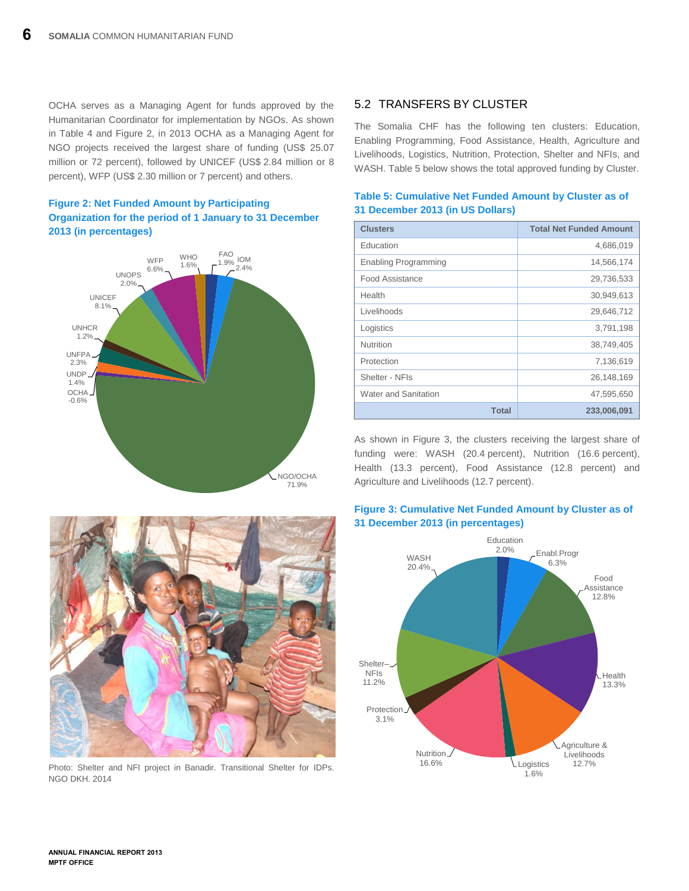OCHA serves as a Managing Agent for funds approved by the Humanitarian Coordinator for implementation by NGOs. As shown in Table 4 and Figure 2, in 2013 OCHA as a Managing Agent for NGO projects received the largest share of funding (US\$ 25.07 million or 72 percent), followed by UNICEF (US\$ 2.84 million or 8 percent), WFP (US\$ 2.30 million or 7 percent) and others.







Photo: Shelter and NFI project in Banadir. Transitional Shelter for IDPs. NGO DKH. 2014

# <span id="page-9-0"></span>5.2 TRANSFERS BY CLUSTER

The Somalia CHF has the following ten clusters: Education, Enabling Programming, Food Assistance, Health, Agriculture and Livelihoods, Logistics, Nutrition, Protection, Shelter and NFIs, and WASH. Table 5 below shows the total approved funding by Cluster.

| <b>ST DUGGINGLED IS (III OU DUIKIS)</b> |                                |  |  |  |
|-----------------------------------------|--------------------------------|--|--|--|
| <b>Clusters</b>                         | <b>Total Net Funded Amount</b> |  |  |  |
| Education                               | 4,686,019                      |  |  |  |
| <b>Enabling Programming</b>             | 14,566,174                     |  |  |  |
| Food Assistance                         | 29,736,533                     |  |  |  |
| Health                                  | 30,949,613                     |  |  |  |
| Livelihoods                             | 29,646,712                     |  |  |  |
| Logistics                               | 3,791,198                      |  |  |  |
| <b>Nutrition</b>                        | 38,749,405                     |  |  |  |
| Protection                              | 7,136,619                      |  |  |  |
| Shelter - NFIs                          | 26,148,169                     |  |  |  |
| Water and Sanitation                    | 47,595,650                     |  |  |  |
| <b>Total</b>                            | 233,006,091                    |  |  |  |

## **Table 5: Cumulative Net Funded Amount by Cluster as of 31 December 2013 (in US Dollars)**

As shown in Figure 3, the clusters receiving the largest share of funding were: WASH (20.4 percent), Nutrition (16.6 percent), Health (13.3 percent), Food Assistance (12.8 percent) and Agriculture and Livelihoods (12.7 percent).



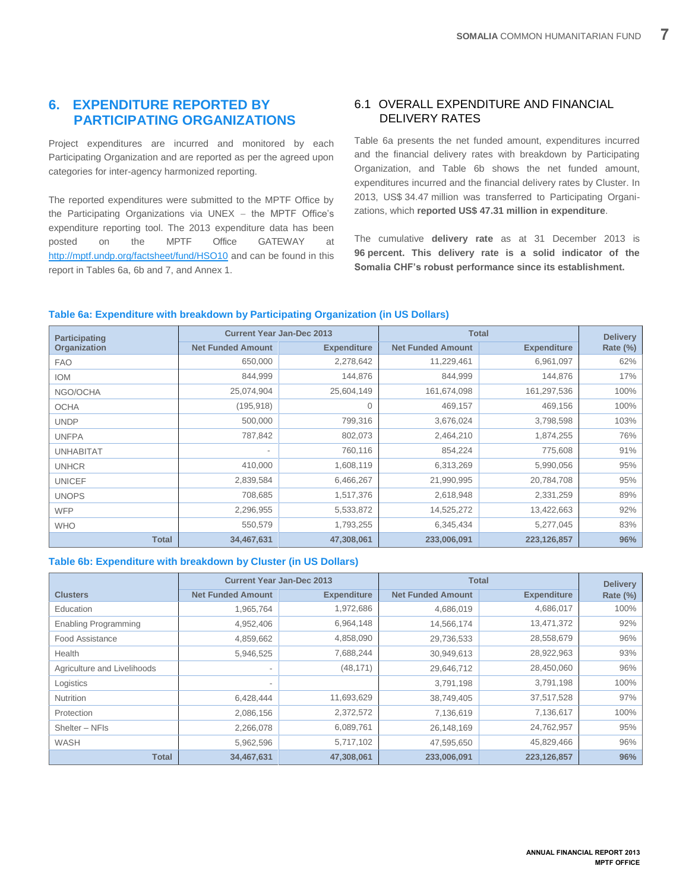# <span id="page-10-0"></span>**6. EXPENDITURE REPORTED BY PARTICIPATING ORGANIZATIONS**

Project expenditures are incurred and monitored by each Participating Organization and are reported as per the agreed upon categories for inter-agency harmonized reporting.

The reported expenditures were submitted to the MPTF Office by the Participating Organizations via  $UNEX -$  the MPTF Office's expenditure reporting tool. The 2013 expenditure data has been posted on the MPTF Office GATEWAY at <http://mptf.undp.org/factsheet/fund/HSO10> and can be found in this report in Tables 6a, 6b and 7, and Annex 1.

# <span id="page-10-1"></span>6.1 OVERALL EXPENDITURE AND FINANCIAL DELIVERY RATES

Table 6a presents the net funded amount, expenditures incurred and the financial delivery rates with breakdown by Participating Organization, and Table 6b shows the net funded amount, expenditures incurred and the financial delivery rates by Cluster. In 2013, US\$ 34.47 million was transferred to Participating Organizations, which **reported US\$ 47.31 million in expenditure**.

The cumulative **delivery rate** as at 31 December 2013 is **96 percent. This delivery rate is a solid indicator of the Somalia CHF's robust performance since its establishment.**

## **Table 6a: Expenditure with breakdown by Participating Organization (in US Dollars)**

| <b>Participating</b> | <b>Current Year Jan-Dec 2013</b> |                    | <b>Total</b>             | <b>Delivery</b>    |                 |
|----------------------|----------------------------------|--------------------|--------------------------|--------------------|-----------------|
| Organization         | <b>Net Funded Amount</b>         | <b>Expenditure</b> | <b>Net Funded Amount</b> | <b>Expenditure</b> | <b>Rate (%)</b> |
| <b>FAO</b>           | 650,000                          | 2,278,642          | 11,229,461               | 6,961,097          | 62%             |
| <b>IOM</b>           | 844,999                          | 144,876            | 844,999                  | 144,876            | 17%             |
| NGO/OCHA             | 25,074,904                       | 25,604,149         | 161,674,098              | 161,297,536        | 100%            |
| <b>OCHA</b>          | (195, 918)                       | 0                  | 469,157                  | 469,156            | 100%            |
| <b>UNDP</b>          | 500,000                          | 799,316            | 3,676,024                | 3,798,598          | 103%            |
| <b>UNFPA</b>         | 787,842                          | 802,073            | 2,464,210                | 1,874,255          | 76%             |
| <b>UNHABITAT</b>     | $\overline{\phantom{a}}$         | 760,116            | 854,224                  | 775,608            | 91%             |
| <b>UNHCR</b>         | 410,000                          | 1,608,119          | 6,313,269                | 5,990,056          | 95%             |
| <b>UNICEF</b>        | 2,839,584                        | 6,466,267          | 21,990,995               | 20,784,708         | 95%             |
| <b>UNOPS</b>         | 708,685                          | 1,517,376          | 2,618,948                | 2,331,259          | 89%             |
| <b>WFP</b>           | 2,296,955                        | 5,533,872          | 14,525,272               | 13,422,663         | 92%             |
| <b>WHO</b>           | 550,579                          | 1,793,255          | 6,345,434                | 5,277,045          | 83%             |
| <b>Total</b>         | 34,467,631                       | 47,308,061         | 233,006,091              | 223,126,857        | 96%             |

### **Table 6b: Expenditure with breakdown by Cluster (in US Dollars)**

|                             |                          | <b>Current Year Jan-Dec 2013</b> | <b>Total</b>             | <b>Delivery</b>    |             |
|-----------------------------|--------------------------|----------------------------------|--------------------------|--------------------|-------------|
| <b>Clusters</b>             | <b>Net Funded Amount</b> | <b>Expenditure</b>               | <b>Net Funded Amount</b> | <b>Expenditure</b> | Rate $(\%)$ |
| Education                   | 1,965,764                | 1,972,686                        | 4,686,019                | 4,686,017          | 100%        |
| <b>Enabling Programming</b> | 4,952,406                | 6,964,148                        | 14,566,174               | 13,471,372         | 92%         |
| <b>Food Assistance</b>      | 4,859,662                | 4,858,090                        | 29,736,533               | 28,558,679         | 96%         |
| Health                      | 5,946,525                | 7,688,244                        | 30,949,613               | 28,922,963         | 93%         |
| Agriculture and Livelihoods | $\overline{\phantom{a}}$ | (48, 171)                        | 29,646,712               | 28,450,060         | 96%         |
| Logistics                   | $\overline{\phantom{a}}$ |                                  | 3,791,198                | 3,791,198          | 100%        |
| Nutrition                   | 6,428,444                | 11,693,629                       | 38,749,405               | 37,517,528         | 97%         |
| Protection                  | 2,086,156                | 2,372,572                        | 7,136,619                | 7,136,617          | 100%        |
| Shelter - NFIs              | 2,266,078                | 6,089,761                        | 26,148,169               | 24,762,957         | 95%         |
| WASH                        | 5,962,596                | 5,717,102                        | 47,595,650               | 45,829,466         | 96%         |
| <b>Total</b>                | 34,467,631               | 47,308,061                       | 233,006,091              | 223,126,857        | 96%         |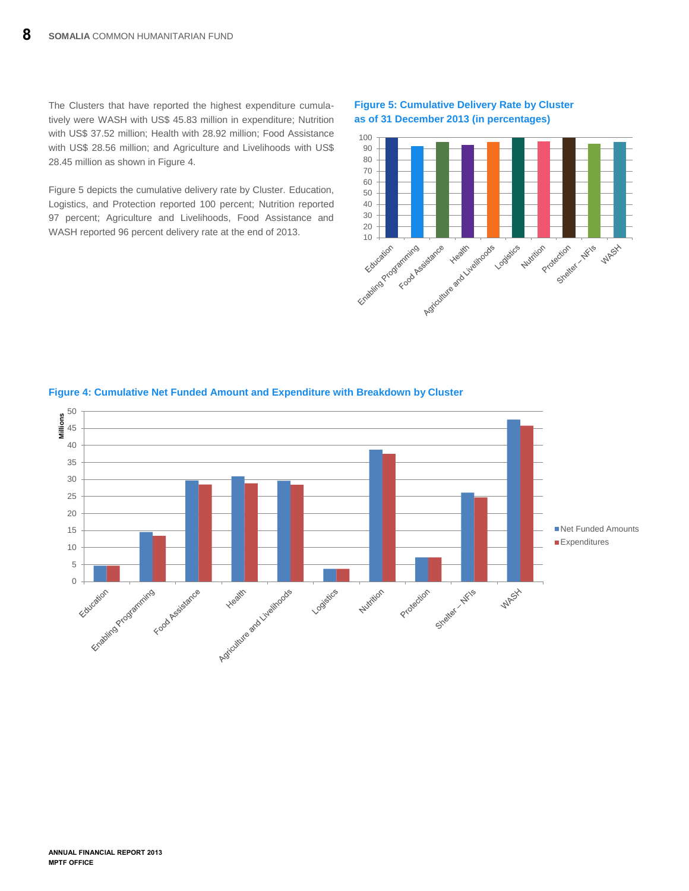The Clusters that have reported the highest expenditure cumulatively were WASH with US\$ 45.83 million in expenditure; Nutrition with US\$ 37.52 million; Health with 28.92 million; Food Assistance with US\$ 28.56 million; and Agriculture and Livelihoods with US\$ 28.45 million as shown in Figure 4.

Figure 5 depicts the cumulative delivery rate by Cluster. Education, Logistics, and Protection reported 100 percent; Nutrition reported 97 percent; Agriculture and Livelihoods, Food Assistance and WASH reported 96 percent delivery rate at the end of 2013.

## **Figure 5: Cumulative Delivery Rate by Cluster as of 31 December 2013 (in percentages)**





## **Figure 4: Cumulative Net Funded Amount and Expenditure with Breakdown by Cluster**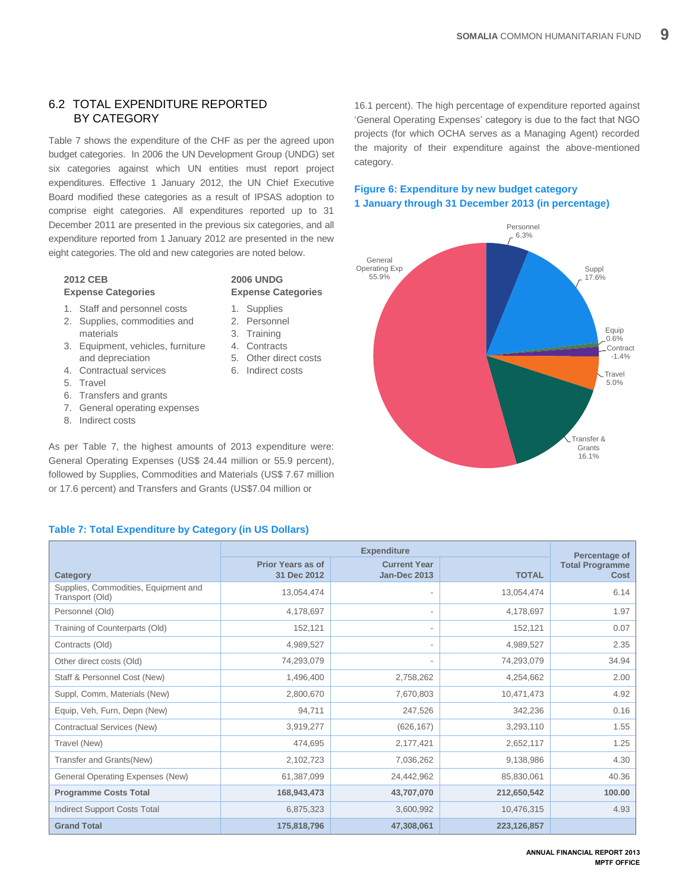## <span id="page-12-0"></span>6.2 TOTAL EXPENDITURE REPORTED BY CATEGORY

Table 7 shows the expenditure of the CHF as per the agreed upon budget categories. In 2006 the UN Development Group (UNDG) set six categories against which UN entities must report project expenditures. Effective 1 January 2012, the UN Chief Executive Board modified these categories as a result of IPSAS adoption to comprise eight categories. All expenditures reported up to 31 December 2011 are presented in the previous six categories, and all expenditure reported from 1 January 2012 are presented in the new eight categories. The old and new categories are noted below.

**2006 UNDG** 

1. Supplies 2. Personnel 3. Training 4. Contracts 5. Other direct costs 6. Indirect costs

**Expense Categories**

# **2012 CEB**

## **Expense Categories**

- 1. Staff and personnel costs
- 2. Supplies, commodities and materials
- 3. Equipment, vehicles, furniture and depreciation
- 4. Contractual services
- 5. Travel
- 6. Transfers and grants
- 7. General operating expenses
- 8. Indirect costs

As per Table 7, the highest amounts of 2013 expenditure were: General Operating Expenses (US\$ 24.44 million or 55.9 percent), followed by Supplies, Commodities and Materials (US\$ 7.67 million or 17.6 percent) and Transfers and Grants (US\$7.04 million or

## **Table 7: Total Expenditure by Category (in US Dollars)**

|                                                         |                          | Percentage of            |              |                        |
|---------------------------------------------------------|--------------------------|--------------------------|--------------|------------------------|
|                                                         | <b>Prior Years as of</b> | <b>Current Year</b>      |              | <b>Total Programme</b> |
| Category                                                | 31 Dec 2012              | <b>Jan-Dec 2013</b>      | <b>TOTAL</b> | Cost                   |
| Supplies, Commodities, Equipment and<br>Transport (Old) | 13,054,474               |                          | 13,054,474   | 6.14                   |
| Personnel (Old)                                         | 4,178,697                |                          | 4,178,697    | 1.97                   |
| Training of Counterparts (Old)                          | 152,121                  | $\overline{\phantom{a}}$ | 152,121      | 0.07                   |
| Contracts (Old)                                         | 4,989,527                | $\overline{\phantom{a}}$ | 4,989,527    | 2.35                   |
| Other direct costs (Old)                                | 74,293,079               | $\overline{\phantom{a}}$ | 74,293,079   | 34.94                  |
| Staff & Personnel Cost (New)                            | 1,496,400                | 2,758,262                | 4,254,662    | 2.00                   |
| Suppl, Comm, Materials (New)                            | 2,800,670                | 7,670,803                | 10,471,473   | 4.92                   |
| Equip, Veh, Furn, Depn (New)                            | 94,711                   | 247,526                  | 342,236      | 0.16                   |
| Contractual Services (New)                              | 3,919,277                | (626, 167)               | 3,293,110    | 1.55                   |
| Travel (New)                                            | 474,695                  | 2,177,421                | 2,652,117    | 1.25                   |
| Transfer and Grants(New)                                | 2,102,723                | 7,036,262                | 9,138,986    | 4.30                   |
| General Operating Expenses (New)                        | 61,387,099               | 24,442,962               | 85,830,061   | 40.36                  |
| <b>Programme Costs Total</b>                            | 168,943,473              | 43,707,070               | 212,650,542  | 100.00                 |
| <b>Indirect Support Costs Total</b>                     | 6,875,323                | 3,600,992                | 10,476,315   | 4.93                   |
| <b>Grand Total</b>                                      | 175.818.796              | 47.308.061               | 223,126,857  |                        |

16.1 percent). The high percentage of expenditure reported against 'General Operating Expenses' category is due to the fact that NGO projects (for which OCHA serves as a Managing Agent) recorded the majority of their expenditure against the above-mentioned category.

## **Figure 6: Expenditure by new budget category 1 January through 31 December 2013 (in percentage)**

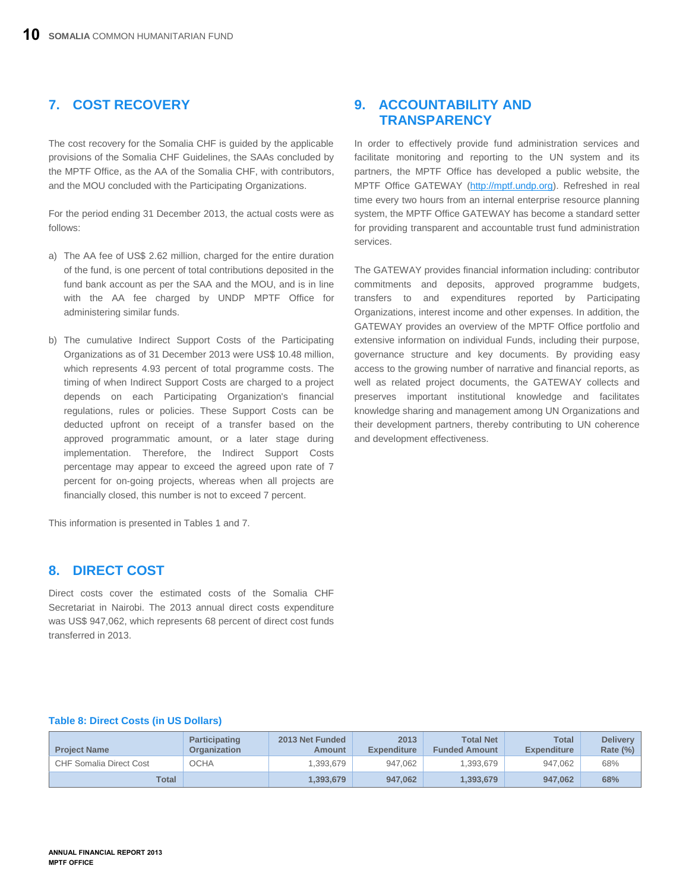# <span id="page-13-0"></span>**7. COST RECOVERY**

The cost recovery for the Somalia CHF is guided by the applicable provisions of the Somalia CHF Guidelines, the SAAs concluded by the MPTF Office, as the AA of the Somalia CHF, with contributors, and the MOU concluded with the Participating Organizations.

For the period ending 31 December 2013, the actual costs were as follows:

- a) The AA fee of US\$ 2.62 million, charged for the entire duration of the fund, is one percent of total contributions deposited in the fund bank account as per the SAA and the MOU, and is in line with the AA fee charged by UNDP MPTF Office for administering similar funds.
- b) The cumulative Indirect Support Costs of the Participating Organizations as of 31 December 2013 were US\$ 10.48 million, which represents 4.93 percent of total programme costs. The timing of when Indirect Support Costs are charged to a project depends on each Participating Organization's financial regulations, rules or policies. These Support Costs can be deducted upfront on receipt of a transfer based on the approved programmatic amount, or a later stage during implementation. Therefore, the Indirect Support Costs percentage may appear to exceed the agreed upon rate of 7 percent for on-going projects, whereas when all projects are financially closed, this number is not to exceed 7 percent.

This information is presented in Tables 1 and 7.

# <span id="page-13-1"></span>**8. DIRECT COST**

Direct costs cover the estimated costs of the Somalia CHF Secretariat in Nairobi. The 2013 annual direct costs expenditure was US\$ 947,062, which represents 68 percent of direct cost funds transferred in 2013.

# <span id="page-13-2"></span>**9. ACCOUNTABILITY AND TRANSPARENCY**

In order to effectively provide fund administration services and facilitate monitoring and reporting to the UN system and its partners, the MPTF Office has developed a public website, the MPTF Office GATEWAY [\(http://mptf.undp.org\)](http://mptf.undp.org/). Refreshed in real time every two hours from an internal enterprise resource planning system, the MPTF Office GATEWAY has become a standard setter for providing transparent and accountable trust fund administration services.

The GATEWAY provides financial information including: contributor commitments and deposits, approved programme budgets, transfers to and expenditures reported by Participating Organizations, interest income and other expenses. In addition, the GATEWAY provides an overview of the MPTF Office portfolio and extensive information on individual Funds, including their purpose, governance structure and key documents. By providing easy access to the growing number of narrative and financial reports, as well as related project documents, the GATEWAY collects and preserves important institutional knowledge and facilitates knowledge sharing and management among UN Organizations and their development partners, thereby contributing to UN coherence and development effectiveness.

#### **Table 8: Direct Costs (in US Dollars)**

| <b>Project Name</b>            | <b>Participating</b><br>Organization | 2013 Net Funded<br><b>Amount</b> | 2013<br><b>Expenditure</b> | <b>Total Net</b><br><b>Funded Amount</b> | <b>Total</b><br><b>Expenditure</b> | <b>Delivery</b><br>Rate $(\%)$ |
|--------------------------------|--------------------------------------|----------------------------------|----------------------------|------------------------------------------|------------------------------------|--------------------------------|
| <b>CHF Somalia Direct Cost</b> | OCHA                                 | 1.393.679                        | 947.062                    | 1.393.679                                | 947.062                            | 68%                            |
| <b>Total</b>                   |                                      | 1.393.679                        | 947.062                    | 1.393.679                                | 947.062                            | 68%                            |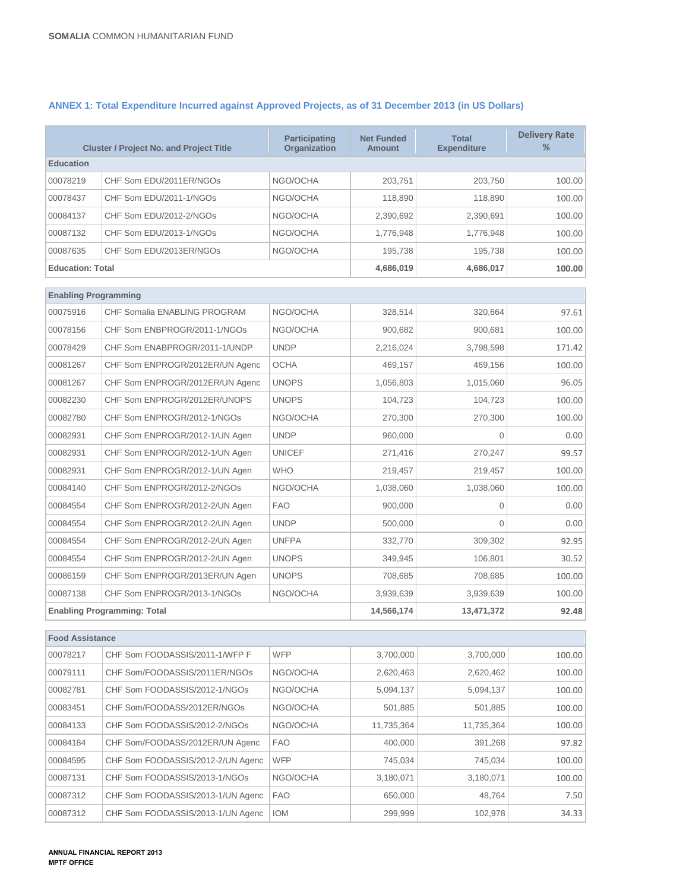| <b>Cluster / Project No. and Project Title</b> |                                 | <b>Participating</b><br><b>Organization</b> | <b>Net Funded</b><br><b>Amount</b> | <b>Total</b><br><b>Expenditure</b> | <b>Delivery Rate</b><br>% |
|------------------------------------------------|---------------------------------|---------------------------------------------|------------------------------------|------------------------------------|---------------------------|
| <b>Education</b>                               |                                 |                                             |                                    |                                    |                           |
| 00078219                                       | CHF Som EDU/2011ER/NGOs         | NGO/OCHA                                    | 203.751                            | 203.750                            | 100.00                    |
| 00078437                                       | CHF Som EDU/2011-1/NGOs         | NGO/OCHA                                    | 118,890                            | 118,890                            | 100.00                    |
| 00084137                                       | CHF Som EDU/2012-2/NGOs         | NGO/OCHA                                    | 2,390,692                          | 2,390,691                          | 100.00                    |
| 00087132                                       | CHF Som EDU/2013-1/NGOs         | NGO/OCHA                                    | 1,776,948                          | 1,776,948                          | 100.00                    |
| 00087635                                       | CHF Som EDU/2013ER/NGOs         | NGO/OCHA                                    | 195,738                            | 195,738                            | 100.00                    |
| <b>Education: Total</b>                        |                                 |                                             | 4,686,019                          | 4,686,017                          | 100.00                    |
| <b>Enabling Programming</b>                    |                                 |                                             |                                    |                                    |                           |
| 00075916                                       | CHF Somalia ENABLING PROGRAM    | NGO/OCHA                                    | 328,514                            | 320,664                            | 97.61                     |
| 00078156                                       | CHF Som ENBPROGR/2011-1/NGOs    | NGO/OCHA                                    | 900,682                            | 900,681                            | 100.00                    |
| 00078429                                       | CHF Som ENABPROGR/2011-1/UNDP   | <b>UNDP</b>                                 | 2,216,024                          | 3,798,598                          | 171.42                    |
| 00081267                                       | CHF Som ENPROGR/2012ER/UN Agenc | <b>OCHA</b>                                 | 469,157                            | 469,156                            | 100.00                    |
| 00081267                                       | CHF Som ENPROGR/2012ER/UN Agenc | <b>UNOPS</b>                                | 1,056,803                          | 1,015,060                          | 96.05                     |
| 00082230                                       | CHF Som ENPROGR/2012ER/UNOPS    | <b>UNOPS</b>                                | 104.723                            | 104.723                            | 100.00                    |
| 00082780                                       | CHF Som ENPROGR/2012-1/NGOs     | NGO/OCHA                                    | 270,300                            | 270,300                            | 100.00                    |
| 00082931                                       | CHF Som ENPROGR/2012-1/UN Agen  | <b>UNDP</b>                                 | 960,000                            | $\Omega$                           | 0.00                      |
| 00082931                                       | CHF Som ENPROGR/2012-1/UN Agen  | <b>UNICEF</b>                               | 271,416                            | 270,247                            | 99.57                     |
| 00082931                                       | CHF Som ENPROGR/2012-1/UN Agen  | <b>WHO</b>                                  | 219,457                            | 219,457                            | 100.00                    |
| 00084140                                       | CHF Som ENPROGR/2012-2/NGOs     | NGO/OCHA                                    | 1,038,060                          | 1,038,060                          | 100.00                    |
| 00084554                                       | CHF Som ENPROGR/2012-2/UN Agen  | <b>FAO</b>                                  | 900,000                            | $\mathbf{0}$                       | 0.00                      |
| 00084554                                       | CHF Som ENPROGR/2012-2/UN Agen  | <b>UNDP</b>                                 | 500,000                            | $\Omega$                           | 0.00                      |
| 00084554                                       | CHF Som ENPROGR/2012-2/UN Agen  | <b>UNFPA</b>                                | 332,770                            | 309,302                            | 92.95                     |
| 00084554                                       | CHF Som ENPROGR/2012-2/UN Agen  | <b>UNOPS</b>                                | 349,945                            | 106,801                            | 30.52                     |
| 00086159                                       | CHF Som ENPROGR/2013ER/UN Agen  | <b>UNOPS</b>                                | 708,685                            | 708,685                            | 100.00                    |
| 00087138<br>CHF Som ENPROGR/2013-1/NGOs        |                                 | NGO/OCHA                                    | 3,939,639                          | 3,939,639                          | 100.00                    |
| <b>Enabling Programming: Total</b>             |                                 |                                             | 14,566,174                         | 13,471,372                         | 92.48                     |
|                                                |                                 |                                             |                                    |                                    |                           |

## **ANNEX 1: Total Expenditure Incurred against Approved Projects, as of 31 December 2013 (in US Dollars)**

| <b>Food Assistance</b> |                                   |            |            |            |        |  |
|------------------------|-----------------------------------|------------|------------|------------|--------|--|
| 00078217               | CHF Som FOODASSIS/2011-1/WFP F    | <b>WFP</b> | 3,700,000  | 3,700,000  | 100.00 |  |
| 00079111               | CHF Som/FOODASSIS/2011ER/NGOs     | NGO/OCHA   | 2,620,463  | 2,620,462  | 100.00 |  |
| 00082781               | CHF Som FOODASSIS/2012-1/NGOs     | NGO/OCHA   | 5,094,137  | 5,094,137  | 100.00 |  |
| 00083451               | CHF Som/FOODASS/2012ER/NGOs       | NGO/OCHA   | 501,885    | 501,885    | 100.00 |  |
| 00084133               | CHF Som FOODASSIS/2012-2/NGOs     | NGO/OCHA   | 11,735,364 | 11,735,364 | 100.00 |  |
| 00084184               | CHF Som/FOODASS/2012ER/UN Agenc   | <b>FAO</b> | 400,000    | 391,268    | 97.82  |  |
| 00084595               | CHF Som FOODASSIS/2012-2/UN Agenc | <b>WFP</b> | 745,034    | 745,034    | 100.00 |  |
| 00087131               | CHF Som FOODASSIS/2013-1/NGOs     | NGO/OCHA   | 3,180,071  | 3,180,071  | 100.00 |  |
| 00087312               | CHF Som FOODASSIS/2013-1/UN Agenc | <b>FAO</b> | 650,000    | 48,764     | 7.50   |  |
| 00087312               | CHF Som FOODASSIS/2013-1/UN Agenc | <b>IOM</b> | 299.999    | 102.978    | 34.33  |  |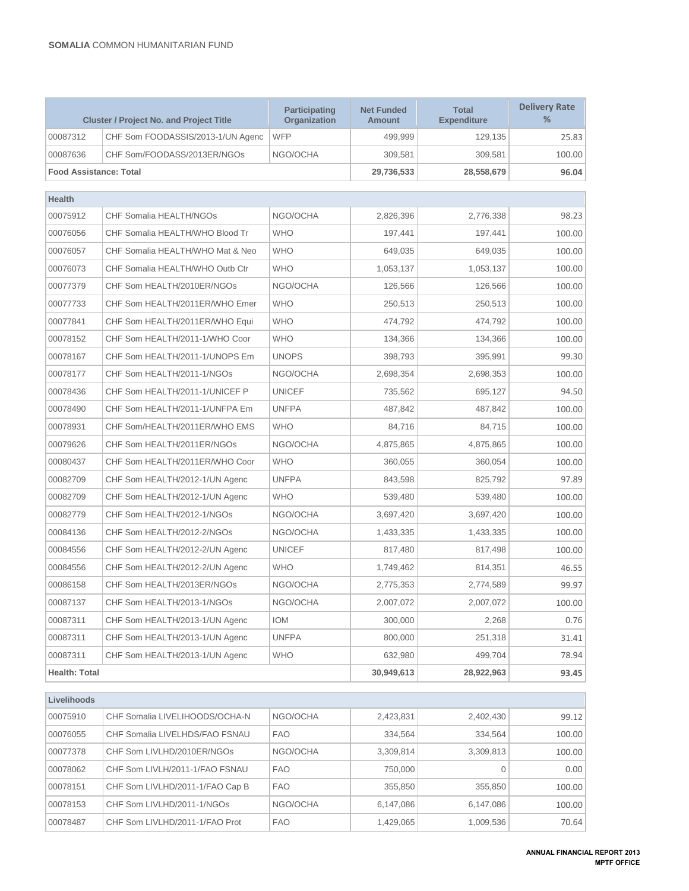| <b>Cluster / Project No. and Project Title</b>     |                                   | <b>Participating</b><br>Organization | <b>Net Funded</b><br><b>Amount</b> | <b>Total</b><br><b>Expenditure</b> | <b>Delivery Rate</b><br>% |
|----------------------------------------------------|-----------------------------------|--------------------------------------|------------------------------------|------------------------------------|---------------------------|
| 00087312                                           | CHF Som FOODASSIS/2013-1/UN Agenc | <b>WFP</b>                           | 499,999                            | 129,135                            | 25.83                     |
| 00087636                                           | CHF Som/FOODASS/2013ER/NGOs       | NGO/OCHA                             | 309,581                            | 309,581                            | 100.00                    |
| <b>Food Assistance: Total</b>                      |                                   |                                      | 29,736,533                         | 28,558,679                         | 96.04                     |
| Health                                             |                                   |                                      |                                    |                                    |                           |
| 00075912                                           | CHF Somalia HEALTH/NGOs           | NGO/OCHA                             | 2,826,396                          | 2,776,338                          | 98.23                     |
| 00076056                                           | CHF Somalia HEALTH/WHO Blood Tr   | <b>WHO</b>                           | 197,441                            | 197,441                            | 100.00                    |
| 00076057                                           | CHF Somalia HEALTH/WHO Mat & Neo  | <b>WHO</b>                           | 649,035                            | 649,035                            | 100.00                    |
| 00076073                                           | CHF Somalia HEALTH/WHO Outb Ctr   | <b>WHO</b>                           | 1,053,137                          | 1,053,137                          | 100.00                    |
| 00077379                                           | CHF Som HEALTH/2010ER/NGOs        | NGO/OCHA                             | 126,566                            | 126,566                            | 100.00                    |
| 00077733                                           | CHF Som HEALTH/2011ER/WHO Emer    | <b>WHO</b>                           | 250,513                            | 250,513                            | 100.00                    |
| 00077841                                           | CHF Som HEALTH/2011ER/WHO Equi    | <b>WHO</b>                           | 474,792                            | 474,792                            | 100.00                    |
| 00078152                                           | CHF Som HEALTH/2011-1/WHO Coor    | <b>WHO</b>                           | 134,366                            | 134,366                            | 100.00                    |
| 00078167                                           | CHF Som HEALTH/2011-1/UNOPS Em    | <b>UNOPS</b>                         | 398,793                            | 395,991                            | 99.30                     |
| 00078177                                           | CHF Som HEALTH/2011-1/NGOs        | NGO/OCHA                             | 2,698,354                          | 2,698,353                          | 100.00                    |
| 00078436                                           | CHF Som HEALTH/2011-1/UNICEF P    | <b>UNICEF</b>                        | 735.562                            | 695,127                            | 94.50                     |
| 00078490                                           | CHF Som HEALTH/2011-1/UNFPA Em    | <b>UNFPA</b>                         | 487,842                            | 487,842                            | 100.00                    |
| 00078931                                           | CHF Som/HEALTH/2011ER/WHO EMS     | <b>WHO</b>                           | 84,716                             | 84,715                             | 100.00                    |
| 00079626                                           | CHF Som HEALTH/2011ER/NGOs        | NGO/OCHA                             | 4,875,865                          | 4,875,865                          | 100.00                    |
| 00080437                                           | CHF Som HEALTH/2011ER/WHO Coor    | <b>WHO</b>                           | 360,055                            | 360,054                            | 100.00                    |
| 00082709                                           | CHF Som HEALTH/2012-1/UN Agenc    | <b>UNFPA</b>                         | 843,598                            | 825,792                            | 97.89                     |
| 00082709                                           | CHF Som HEALTH/2012-1/UN Agenc    | <b>WHO</b>                           | 539,480                            | 539,480                            | 100.00                    |
| 00082779                                           | CHF Som HEALTH/2012-1/NGOs        | NGO/OCHA                             | 3,697,420                          | 3,697,420                          | 100.00                    |
| 00084136                                           | CHF Som HEALTH/2012-2/NGOs        | NGO/OCHA                             | 1,433,335                          | 1,433,335                          | 100.00                    |
| 00084556                                           | CHF Som HEALTH/2012-2/UN Agenc    | <b>UNICEF</b>                        | 817,480                            | 817,498                            | 100.00                    |
| 00084556                                           | CHF Som HEALTH/2012-2/UN Agenc    | <b>WHO</b>                           | 1,749,462                          | 814,351                            | 46.55                     |
| 00086158                                           | CHF Som HEALTH/2013ER/NGOs        | NGO/OCHA                             | 2,775,353                          | 2,774,589                          | 99.97                     |
| 00087137                                           | CHF Som HEALTH/2013-1/NGOs        | NGO/OCHA                             | 2,007,072                          | 2,007,072                          | 100.00                    |
| 00087311                                           | CHF Som HEALTH/2013-1/UN Agenc    | <b>IOM</b>                           | 300,000                            | 2,268                              | 0.76                      |
| 00087311                                           | CHF Som HEALTH/2013-1/UN Agenc    | <b>UNFPA</b>                         | 800.000                            | 251,318                            | 31.41                     |
| 00087311                                           | CHF Som HEALTH/2013-1/UN Agenc    | <b>WHO</b>                           | 632,980                            | 499,704                            | 78.94                     |
| Health: Total<br>30,949,613<br>28,922,963<br>93.45 |                                   |                                      |                                    |                                    |                           |
| Livelihoods                                        |                                   |                                      |                                    |                                    |                           |
| 00075910                                           | CHF Somalia LIVELIHOODS/OCHA-N    | NGO/OCHA                             | 2,423,831                          | 2,402,430                          | 99.12                     |
| 00076055                                           | CHF Somalia LIVELHDS/FAO FSNAU    | <b>FAO</b>                           | 334,564                            | 334,564                            | 100.00                    |
| 00077378                                           | CHF Som LIVLHD/2010ER/NGOs        | NGO/OCHA                             | 3,309,814                          | 3,309,813                          | 100.00                    |
| 00078062                                           | CHF Som LIVLH/2011-1/FAO FSNAU    | <b>FAO</b>                           | 750,000                            | $\mathbf 0$                        | 0.00                      |
| 00078151                                           | CHF Som LIVLHD/2011-1/FAO Cap B   | <b>FAO</b>                           | 355,850                            | 355,850                            | 100.00                    |
| 00078153                                           | CHF Som LIVLHD/2011-1/NGOs        | NGO/OCHA                             | 6,147,086                          | 6,147,086                          | 100.00                    |
| 00078487                                           | CHF Som LIVLHD/2011-1/FAO Prot    | <b>FAO</b>                           | 1,429,065                          | 1,009,536                          | 70.64                     |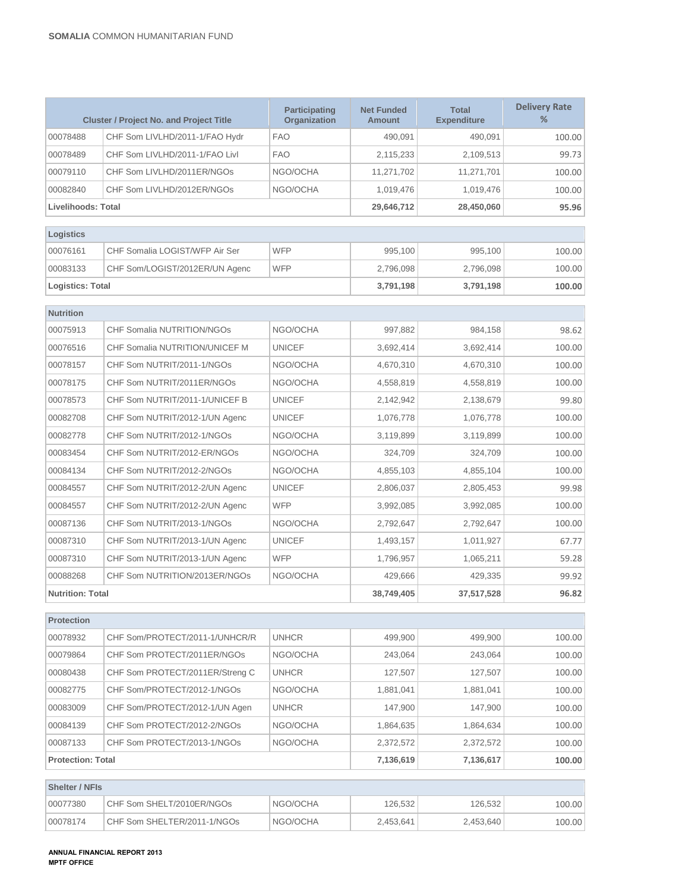| <b>Cluster / Project No. and Project Title</b> |                                 | <b>Participating</b><br>Organization | <b>Net Funded</b><br><b>Amount</b> | <b>Total</b><br><b>Expenditure</b> | <b>Delivery Rate</b><br>% |
|------------------------------------------------|---------------------------------|--------------------------------------|------------------------------------|------------------------------------|---------------------------|
| 00078488                                       | CHF Som LIVLHD/2011-1/FAO Hydr  | <b>FAO</b>                           | 490.091                            | 490.091                            | 100.00                    |
| 00078489                                       | CHF Som LIVLHD/2011-1/FAO Livl  | <b>FAO</b>                           | 2,115,233                          | 2,109,513                          | 99.73                     |
| 00079110                                       | CHF Som LIVLHD/2011ER/NGOs      | NGO/OCHA                             | 11,271,702                         | 11,271,701                         | 100.00                    |
| 00082840                                       | CHF Som LIVLHD/2012ER/NGOs      | NGO/OCHA                             | 1,019,476                          | 1,019,476                          | 100.00                    |
| <b>Livelihoods: Total</b>                      |                                 |                                      | 29,646,712                         | 28,450,060                         | 95.96                     |
|                                                |                                 |                                      |                                    |                                    |                           |
| Logistics                                      |                                 |                                      |                                    |                                    |                           |
| 00076161                                       | CHF Somalia LOGIST/WFP Air Ser  | <b>WFP</b>                           | 995,100                            | 995,100                            | 100.00                    |
| 00083133                                       | CHF Som/LOGIST/2012ER/UN Agenc  | <b>WFP</b>                           | 2,796,098                          | 2,796,098                          | 100.00                    |
| Logistics: Total                               |                                 |                                      | 3,791,198                          | 3,791,198                          | 100.00                    |
| <b>Nutrition</b>                               |                                 |                                      |                                    |                                    |                           |
| 00075913                                       | CHF Somalia NUTRITION/NGOs      | NGO/OCHA                             | 997.882                            | 984.158                            | 98.62                     |
| 00076516                                       | CHF Somalia NUTRITION/UNICEF M  | <b>UNICEF</b>                        | 3,692,414                          | 3.692.414                          | 100.00                    |
| 00078157                                       | CHF Som NUTRIT/2011-1/NGOs      | NGO/OCHA                             | 4,670,310                          | 4,670,310                          | 100.00                    |
| 00078175                                       | CHF Som NUTRIT/2011ER/NGOs      | NGO/OCHA                             | 4,558,819                          | 4,558,819                          | 100.00                    |
| 00078573                                       | CHF Som NUTRIT/2011-1/UNICEF B  | <b>UNICEF</b>                        | 2,142,942                          | 2,138,679                          | 99.80                     |
| 00082708                                       | CHF Som NUTRIT/2012-1/UN Agenc  | <b>UNICEF</b>                        | 1,076,778                          | 1,076,778                          | 100.00                    |
| 00082778                                       | CHF Som NUTRIT/2012-1/NGOs      | NGO/OCHA                             | 3,119,899                          | 3,119,899                          | 100.00                    |
| 00083454                                       | CHF Som NUTRIT/2012-ER/NGOs     | NGO/OCHA                             | 324,709                            | 324,709                            | 100.00                    |
| 00084134                                       | CHF Som NUTRIT/2012-2/NGOs      | NGO/OCHA                             | 4,855,103                          | 4,855,104                          | 100.00                    |
| 00084557                                       | CHF Som NUTRIT/2012-2/UN Agenc  | <b>UNICEF</b>                        | 2,806,037                          | 2,805,453                          | 99.98                     |
| 00084557                                       | CHF Som NUTRIT/2012-2/UN Agenc  | <b>WFP</b>                           | 3,992,085                          | 3,992,085                          | 100.00                    |
| 00087136                                       | CHF Som NUTRIT/2013-1/NGOs      | NGO/OCHA                             | 2,792,647                          | 2,792,647                          | 100.00                    |
| 00087310                                       | CHF Som NUTRIT/2013-1/UN Agenc  | <b>UNICEF</b>                        | 1,493,157                          | 1,011,927                          | 67.77                     |
| 00087310                                       | CHF Som NUTRIT/2013-1/UN Agenc  | <b>WFP</b>                           | 1,796,957                          | 1,065,211                          | 59.28                     |
| 00088268                                       | CHF Som NUTRITION/2013ER/NGOs   | NGO/OCHA                             | 429,666                            | 429,335                            | 99.92                     |
| <b>Nutrition: Total</b>                        |                                 | 38,749,405                           | 37,517,528                         | 96.82                              |                           |
|                                                |                                 |                                      |                                    |                                    |                           |
| <b>Protection</b>                              |                                 |                                      |                                    |                                    |                           |
| 00078932                                       | CHF Som/PROTECT/2011-1/UNHCR/R  | <b>UNHCR</b>                         | 499,900                            | 499,900                            | 100.00                    |
| 00079864                                       | CHF Som PROTECT/2011ER/NGOs     | NGO/OCHA                             | 243,064                            | 243,064                            | 100.00                    |
| 00080438                                       | CHF Som PROTECT/2011ER/Streng C | <b>UNHCR</b>                         | 127,507                            | 127,507                            | 100.00                    |

00082775 CHF Som/PROTECT/2012-1/NGOs NGO/OCHA 1,881,041 1,881,041 1,881,041 100.00 00083009 CHF Som/PROTECT/2012-1/UN Agen UNHCR 147,900 147,900 147,900 100.00 00084139 CHF Som PROTECT/2012-2/NGOs NGO/OCHA 1,864,635 1,864,634 100.00 00087133 CHF Som PROTECT/2013-1/NGOs NGO/OCHA 2,372,572 2,372,572 100.00 **Protection: Total 7,136,619 7,136,617 100.00**

00077380 CHF Som SHELT/2010ER/NGOs NGO/OCHA 126,532 126,532 126,532 00078174 CHF Som SHELTER/2011-1/NGOs NGO/OCHA 2,453,641 2,453,640 100.00

**Shelter / NFIs**